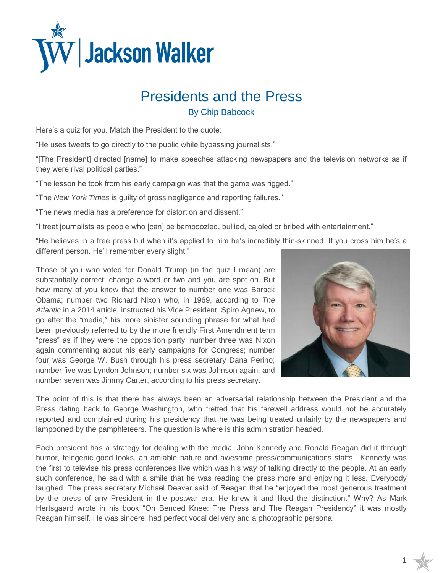

## Presidents and the Press

By Chip Babcock

Here's a quiz for you. Match the President to the quote:

"He uses tweets to go directly to the public while bypassing journalists."

"[The President] directed [name] to make speeches attacking newspapers and the television networks as if they were rival political parties."

"The lesson he took from his early campaign was that the game was rigged."

"The *New York Times* is guilty of gross negligence and reporting failures."

"The news media has a preference for distortion and dissent."

"I treat journalists as people who [can] be bamboozled, bullied, cajoled or bribed with entertainment."

"He believes in a free press but when it's applied to him he's incredibly thin-skinned. If you cross him he's a different person. He'll remember every slight."

Those of you who voted for Donald Trump (in the quiz I mean) are

1

substantially correct; change a word or two and you are spot on. But how many of you knew that the answer to number one was Barack Obama; number two Richard Nixon who, in 1969, according to *The Atlantic* in a 2014 article, instructed his Vice President, Spiro Agnew, to go after the "media," his more sinister sounding phrase for what had been previously referred to by the more friendly First Amendment term "press" as if they were the opposition party; number three was Nixon again commenting about his early campaigns for Congress; number four was George W. Bush through his press secretary Dana Perino; number five was Lyndon Johnson; number six was Johnson again, and number seven was Jimmy Carter, according to his press secretary.

The point of this is that there has always been an adversarial relationship between the President and the Press dating back to George Washington, who fretted that his farewell address would not be accurately reported and complained during his presidency that he was being treated unfairly by the newspapers and lampooned by the pamphleteers. The question is where is this administration headed.

Each president has a strategy for dealing with the media. John Kennedy and Ronald Reagan did it through humor, telegenic good looks, an amiable nature and awesome press/communications staffs. Kennedy was the first to televise his press conferences live which was his way of talking directly to the people. At an early such conference, he said with a smile that he was reading the press more and enjoying it less. Everybody laughed. The press secretary Michael Deaver said of Reagan that he "enjoyed the most generous treatment by the press of any President in the postwar era. He knew it and liked the distinction." Why? As Mark Hertsgaard wrote in his book "On Bended Knee: The Press and The Reagan Presidency" it was mostly Reagan himself. He was sincere, had perfect vocal delivery and a photographic persona.